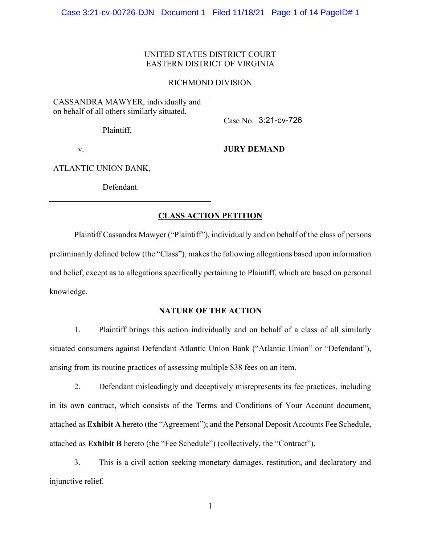### UNITED STATES DISTRICT COURT EASTERN DISTRICT OF VIRGINIA

### RICHMOND DIVISION

CASSANDRA MAWYER, individually and on behalf of all others similarly situated,

Plaintiff,

Case No. 3:21-cv-726

v.

# **JURY DEMAND**

ATLANTIC UNION BANK,

Defendant.

## **CLASS ACTION PETITION**

Plaintiff Cassandra Mawyer ("Plaintiff"), individually and on behalf of the class of persons preliminarily defined below (the "Class"), makes the following allegations based upon information and belief, except as to allegations specifically pertaining to Plaintiff, which are based on personal knowledge.

### **NATURE OF THE ACTION**

1. Plaintiff brings this action individually and on behalf of a class of all similarly situated consumers against Defendant Atlantic Union Bank ("Atlantic Union" or "Defendant"), arising from its routine practices of assessing multiple \$38 fees on an item.

2. Defendant misleadingly and deceptively misrepresents its fee practices, including in its own contract, which consists of the Terms and Conditions of Your Account document, attached as **Exhibit A** hereto (the "Agreement"); and the Personal Deposit Accounts Fee Schedule, attached as **Exhibit B** hereto (the "Fee Schedule") (collectively, the "Contract").

3. This is a civil action seeking monetary damages, restitution, and declaratory and injunctive relief.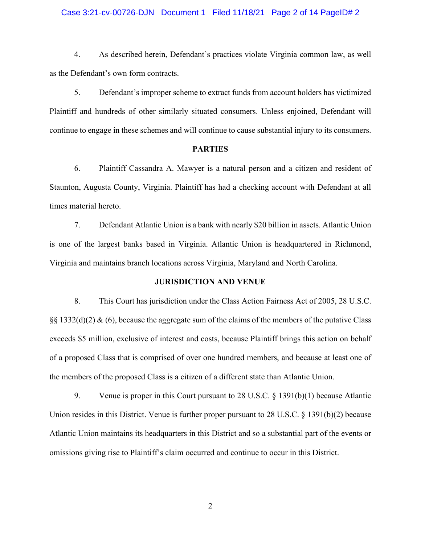### Case 3:21-cv-00726-DJN Document 1 Filed 11/18/21 Page 2 of 14 PageID# 2

4. As described herein, Defendant's practices violate Virginia common law, as well as the Defendant's own form contracts.

5. Defendant's improper scheme to extract funds from account holders has victimized Plaintiff and hundreds of other similarly situated consumers. Unless enjoined, Defendant will continue to engage in these schemes and will continue to cause substantial injury to its consumers.

### **PARTIES**

6. Plaintiff Cassandra A. Mawyer is a natural person and a citizen and resident of Staunton, Augusta County, Virginia. Plaintiff has had a checking account with Defendant at all times material hereto.

7. Defendant Atlantic Union is a bank with nearly \$20 billion in assets. Atlantic Union is one of the largest banks based in Virginia. Atlantic Union is headquartered in Richmond, Virginia and maintains branch locations across Virginia, Maryland and North Carolina.

#### **JURISDICTION AND VENUE**

8. This Court has jurisdiction under the Class Action Fairness Act of 2005, 28 U.S.C.  $\S$ § 1332(d)(2) & (6), because the aggregate sum of the claims of the members of the putative Class exceeds \$5 million, exclusive of interest and costs, because Plaintiff brings this action on behalf of a proposed Class that is comprised of over one hundred members, and because at least one of the members of the proposed Class is a citizen of a different state than Atlantic Union.

9. Venue is proper in this Court pursuant to 28 U.S.C. § 1391(b)(1) because Atlantic Union resides in this District. Venue is further proper pursuant to 28 U.S.C. § 1391(b)(2) because Atlantic Union maintains its headquarters in this District and so a substantial part of the events or omissions giving rise to Plaintiff's claim occurred and continue to occur in this District.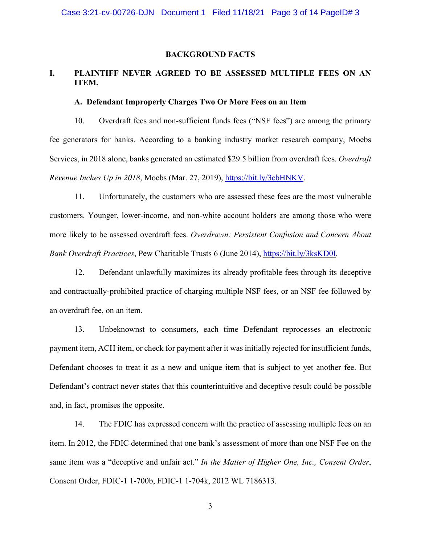### **BACKGROUND FACTS**

# **I. PLAINTIFF NEVER AGREED TO BE ASSESSED MULTIPLE FEES ON AN ITEM.**

### **A. Defendant Improperly Charges Two Or More Fees on an Item**

10. Overdraft fees and non-sufficient funds fees ("NSF fees") are among the primary fee generators for banks. According to a banking industry market research company, Moebs Services, in 2018 alone, banks generated an estimated \$29.5 billion from overdraft fees. *Overdraft Revenue Inches Up in 2018*, Moebs (Mar. 27, 2019), [https://bit.ly/3cbHNKV.](https://bit.ly/3cbHNKV)

11. Unfortunately, the customers who are assessed these fees are the most vulnerable customers. Younger, lower-income, and non-white account holders are among those who were more likely to be assessed overdraft fees. *Overdrawn: Persistent Confusion and Concern About Bank Overdraft Practices*, Pew Charitable Trusts 6 (June 2014), [https://bit.ly/3ksKD0I.](https://bit.ly/3ksKD0I)

12. Defendant unlawfully maximizes its already profitable fees through its deceptive and contractually-prohibited practice of charging multiple NSF fees, or an NSF fee followed by an overdraft fee, on an item.

13. Unbeknownst to consumers, each time Defendant reprocesses an electronic payment item, ACH item, or check for payment after it was initially rejected for insufficient funds, Defendant chooses to treat it as a new and unique item that is subject to yet another fee. But Defendant's contract never states that this counterintuitive and deceptive result could be possible and, in fact, promises the opposite.

14. The FDIC has expressed concern with the practice of assessing multiple fees on an item. In 2012, the FDIC determined that one bank's assessment of more than one NSF Fee on the same item was a "deceptive and unfair act." *In the Matter of Higher One, Inc., Consent Order*, Consent Order, FDIC-1 1-700b, FDIC-1 1-704k, 2012 WL 7186313.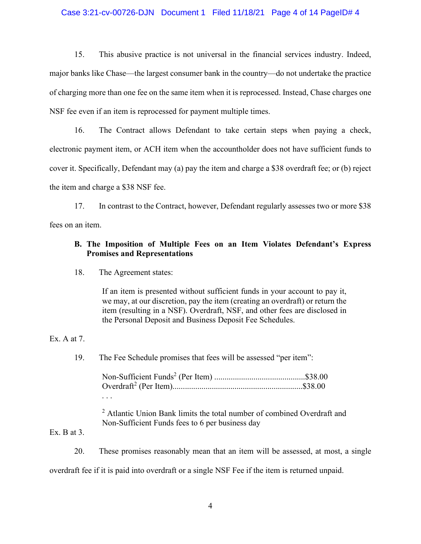### Case 3:21-cv-00726-DJN Document 1 Filed 11/18/21 Page 4 of 14 PageID# 4

15. This abusive practice is not universal in the financial services industry. Indeed, major banks like Chase—the largest consumer bank in the country—do not undertake the practice of charging more than one fee on the same item when it is reprocessed. Instead, Chase charges one NSF fee even if an item is reprocessed for payment multiple times.

16. The Contract allows Defendant to take certain steps when paying a check, electronic payment item, or ACH item when the accountholder does not have sufficient funds to cover it. Specifically, Defendant may (a) pay the item and charge a \$38 overdraft fee; or (b) reject the item and charge a \$38 NSF fee.

17. In contrast to the Contract, however, Defendant regularly assesses two or more \$38 fees on an item.

### **B. The Imposition of Multiple Fees on an Item Violates Defendant's Express Promises and Representations**

### 18. The Agreement states:

If an item is presented without sufficient funds in your account to pay it, we may, at our discretion, pay the item (creating an overdraft) or return the item (resulting in a NSF). Overdraft, NSF, and other fees are disclosed in the Personal Deposit and Business Deposit Fee Schedules.

### Ex. A at 7.

19. The Fee Schedule promises that fees will be assessed "per item":

<sup>2</sup> Atlantic Union Bank limits the total number of combined Overdraft and Non-Sufficient Funds fees to 6 per business day

## Ex. B at  $3$ .

20. These promises reasonably mean that an item will be assessed, at most, a single overdraft fee if it is paid into overdraft or a single NSF Fee if the item is returned unpaid.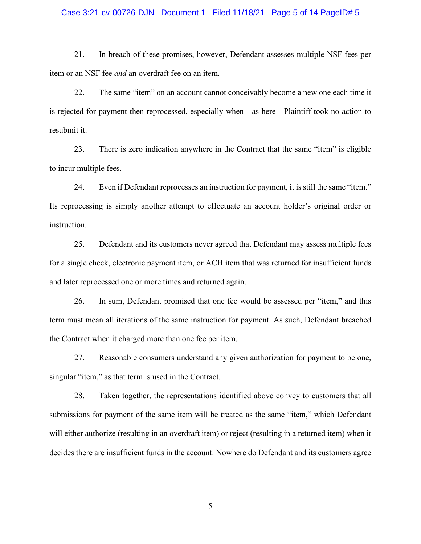### Case 3:21-cv-00726-DJN Document 1 Filed 11/18/21 Page 5 of 14 PageID# 5

21. In breach of these promises, however, Defendant assesses multiple NSF fees per item or an NSF fee *and* an overdraft fee on an item.

22. The same "item" on an account cannot conceivably become a new one each time it is rejected for payment then reprocessed, especially when—as here—Plaintiff took no action to resubmit it.

23. There is zero indication anywhere in the Contract that the same "item" is eligible to incur multiple fees.

24. Even if Defendant reprocesses an instruction for payment, it is still the same "item." Its reprocessing is simply another attempt to effectuate an account holder's original order or instruction.

25. Defendant and its customers never agreed that Defendant may assess multiple fees for a single check, electronic payment item, or ACH item that was returned for insufficient funds and later reprocessed one or more times and returned again.

26. In sum, Defendant promised that one fee would be assessed per "item," and this term must mean all iterations of the same instruction for payment. As such, Defendant breached the Contract when it charged more than one fee per item.

27. Reasonable consumers understand any given authorization for payment to be one, singular "item," as that term is used in the Contract.

28. Taken together, the representations identified above convey to customers that all submissions for payment of the same item will be treated as the same "item," which Defendant will either authorize (resulting in an overdraft item) or reject (resulting in a returned item) when it decides there are insufficient funds in the account. Nowhere do Defendant and its customers agree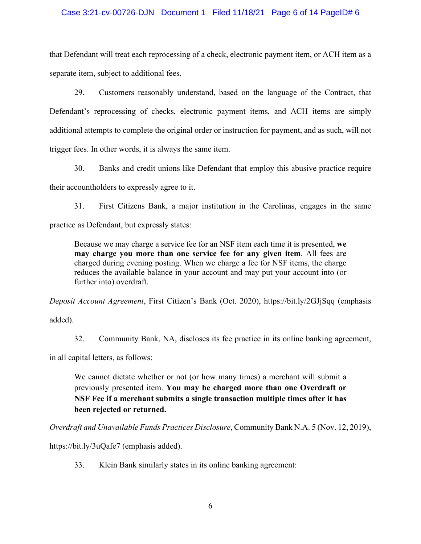### Case 3:21-cv-00726-DJN Document 1 Filed 11/18/21 Page 6 of 14 PageID# 6

that Defendant will treat each reprocessing of a check, electronic payment item, or ACH item as a separate item, subject to additional fees.

29. Customers reasonably understand, based on the language of the Contract, that Defendant's reprocessing of checks, electronic payment items, and ACH items are simply additional attempts to complete the original order or instruction for payment, and as such, will not trigger fees. In other words, it is always the same item.

30. Banks and credit unions like Defendant that employ this abusive practice require their accountholders to expressly agree to it.

31. First Citizens Bank, a major institution in the Carolinas, engages in the same practice as Defendant, but expressly states:

Because we may charge a service fee for an NSF item each time it is presented, **we may charge you more than one service fee for any given item**. All fees are charged during evening posting. When we charge a fee for NSF items, the charge reduces the available balance in your account and may put your account into (or further into) overdraft.

*Deposit Account Agreement*, First Citizen's Bank (Oct. 2020), https://bit.ly/2GJjSqq (emphasis added).

32. Community Bank, NA, discloses its fee practice in its online banking agreement,

in all capital letters, as follows:

We cannot dictate whether or not (or how many times) a merchant will submit a previously presented item. **You may be charged more than one Overdraft or NSF Fee if a merchant submits a single transaction multiple times after it has been rejected or returned.** 

*Overdraft and Unavailable Funds Practices Disclosure*, Community Bank N.A. 5 (Nov. 12, 2019),

https://bit.ly/3uQafe7 (emphasis added).

33. Klein Bank similarly states in its online banking agreement: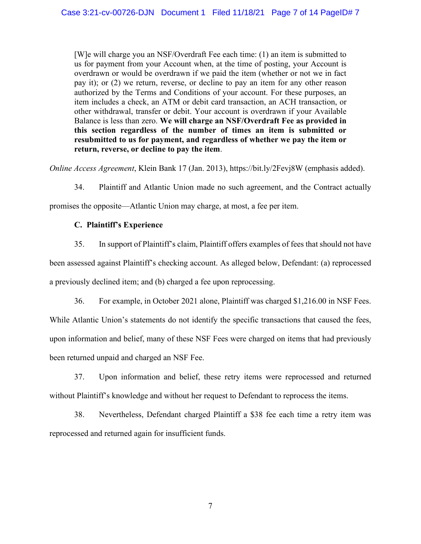[W]e will charge you an NSF/Overdraft Fee each time: (1) an item is submitted to us for payment from your Account when, at the time of posting, your Account is overdrawn or would be overdrawn if we paid the item (whether or not we in fact pay it); or (2) we return, reverse, or decline to pay an item for any other reason authorized by the Terms and Conditions of your account. For these purposes, an item includes a check, an ATM or debit card transaction, an ACH transaction, or other withdrawal, transfer or debit. Your account is overdrawn if your Available Balance is less than zero. **We will charge an NSF/Overdraft Fee as provided in this section regardless of the number of times an item is submitted or resubmitted to us for payment, and regardless of whether we pay the item or return, reverse, or decline to pay the item**.

*Online Access Agreement*, Klein Bank 17 (Jan. 2013), https://bit.ly/2Fevj8W (emphasis added).

34. Plaintiff and Atlantic Union made no such agreement, and the Contract actually

promises the opposite—Atlantic Union may charge, at most, a fee per item.

# **C. Plaintiff's Experience**

35. In support of Plaintiff's claim, Plaintiff offers examples of fees that should not have been assessed against Plaintiff's checking account. As alleged below, Defendant: (a) reprocessed a previously declined item; and (b) charged a fee upon reprocessing.

36. For example, in October 2021 alone, Plaintiff was charged \$1,216.00 in NSF Fees.

While Atlantic Union's statements do not identify the specific transactions that caused the fees, upon information and belief, many of these NSF Fees were charged on items that had previously been returned unpaid and charged an NSF Fee.

37. Upon information and belief, these retry items were reprocessed and returned without Plaintiff's knowledge and without her request to Defendant to reprocess the items.

38. Nevertheless, Defendant charged Plaintiff a \$38 fee each time a retry item was reprocessed and returned again for insufficient funds.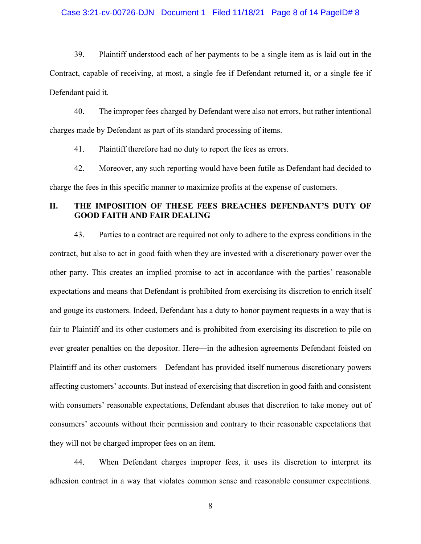### Case 3:21-cv-00726-DJN Document 1 Filed 11/18/21 Page 8 of 14 PageID# 8

39. Plaintiff understood each of her payments to be a single item as is laid out in the Contract, capable of receiving, at most, a single fee if Defendant returned it, or a single fee if Defendant paid it.

40. The improper fees charged by Defendant were also not errors, but rather intentional charges made by Defendant as part of its standard processing of items.

41. Plaintiff therefore had no duty to report the fees as errors.

42. Moreover, any such reporting would have been futile as Defendant had decided to charge the fees in this specific manner to maximize profits at the expense of customers.

# **II. THE IMPOSITION OF THESE FEES BREACHES DEFENDANT'S DUTY OF GOOD FAITH AND FAIR DEALING**

43. Parties to a contract are required not only to adhere to the express conditions in the contract, but also to act in good faith when they are invested with a discretionary power over the other party. This creates an implied promise to act in accordance with the parties' reasonable expectations and means that Defendant is prohibited from exercising its discretion to enrich itself and gouge its customers. Indeed, Defendant has a duty to honor payment requests in a way that is fair to Plaintiff and its other customers and is prohibited from exercising its discretion to pile on ever greater penalties on the depositor. Here—in the adhesion agreements Defendant foisted on Plaintiff and its other customers—Defendant has provided itself numerous discretionary powers affecting customers' accounts. But instead of exercising that discretion in good faith and consistent with consumers' reasonable expectations, Defendant abuses that discretion to take money out of consumers' accounts without their permission and contrary to their reasonable expectations that they will not be charged improper fees on an item.

44. When Defendant charges improper fees, it uses its discretion to interpret its adhesion contract in a way that violates common sense and reasonable consumer expectations.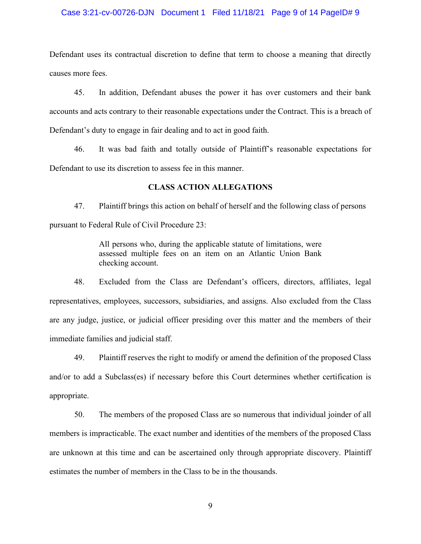### Case 3:21-cv-00726-DJN Document 1 Filed 11/18/21 Page 9 of 14 PageID# 9

Defendant uses its contractual discretion to define that term to choose a meaning that directly causes more fees.

45. In addition, Defendant abuses the power it has over customers and their bank accounts and acts contrary to their reasonable expectations under the Contract. This is a breach of Defendant's duty to engage in fair dealing and to act in good faith.

46. It was bad faith and totally outside of Plaintiff's reasonable expectations for Defendant to use its discretion to assess fee in this manner.

### **CLASS ACTION ALLEGATIONS**

47. Plaintiff brings this action on behalf of herself and the following class of persons pursuant to Federal Rule of Civil Procedure 23:

> All persons who, during the applicable statute of limitations, were assessed multiple fees on an item on an Atlantic Union Bank checking account.

48. Excluded from the Class are Defendant's officers, directors, affiliates, legal representatives, employees, successors, subsidiaries, and assigns. Also excluded from the Class are any judge, justice, or judicial officer presiding over this matter and the members of their immediate families and judicial staff.

49. Plaintiff reserves the right to modify or amend the definition of the proposed Class and/or to add a Subclass(es) if necessary before this Court determines whether certification is appropriate.

50. The members of the proposed Class are so numerous that individual joinder of all members is impracticable. The exact number and identities of the members of the proposed Class are unknown at this time and can be ascertained only through appropriate discovery. Plaintiff estimates the number of members in the Class to be in the thousands.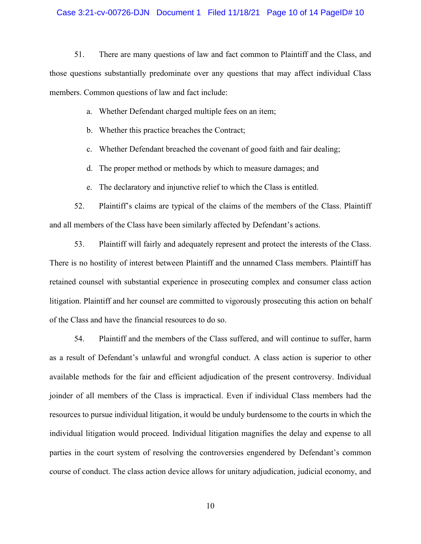#### Case 3:21-cv-00726-DJN Document 1 Filed 11/18/21 Page 10 of 14 PageID# 10

51. There are many questions of law and fact common to Plaintiff and the Class, and those questions substantially predominate over any questions that may affect individual Class members. Common questions of law and fact include:

- a. Whether Defendant charged multiple fees on an item;
- b. Whether this practice breaches the Contract;
- c. Whether Defendant breached the covenant of good faith and fair dealing;
- d. The proper method or methods by which to measure damages; and
- e. The declaratory and injunctive relief to which the Class is entitled.

52. Plaintiff's claims are typical of the claims of the members of the Class. Plaintiff and all members of the Class have been similarly affected by Defendant's actions.

53. Plaintiff will fairly and adequately represent and protect the interests of the Class. There is no hostility of interest between Plaintiff and the unnamed Class members. Plaintiff has retained counsel with substantial experience in prosecuting complex and consumer class action litigation. Plaintiff and her counsel are committed to vigorously prosecuting this action on behalf of the Class and have the financial resources to do so.

54. Plaintiff and the members of the Class suffered, and will continue to suffer, harm as a result of Defendant's unlawful and wrongful conduct. A class action is superior to other available methods for the fair and efficient adjudication of the present controversy. Individual joinder of all members of the Class is impractical. Even if individual Class members had the resources to pursue individual litigation, it would be unduly burdensome to the courts in which the individual litigation would proceed. Individual litigation magnifies the delay and expense to all parties in the court system of resolving the controversies engendered by Defendant's common course of conduct. The class action device allows for unitary adjudication, judicial economy, and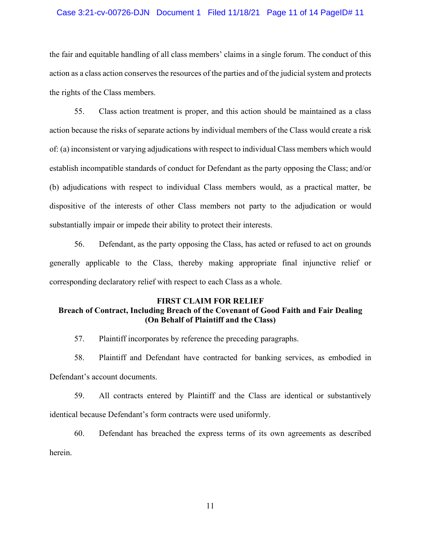#### Case 3:21-cv-00726-DJN Document 1 Filed 11/18/21 Page 11 of 14 PageID# 11

the fair and equitable handling of all class members' claims in a single forum. The conduct of this action as a class action conserves the resources of the parties and of the judicial system and protects the rights of the Class members.

55. Class action treatment is proper, and this action should be maintained as a class action because the risks of separate actions by individual members of the Class would create a risk of: (a) inconsistent or varying adjudications with respect to individual Class members which would establish incompatible standards of conduct for Defendant as the party opposing the Class; and/or (b) adjudications with respect to individual Class members would, as a practical matter, be dispositive of the interests of other Class members not party to the adjudication or would substantially impair or impede their ability to protect their interests.

56. Defendant, as the party opposing the Class, has acted or refused to act on grounds generally applicable to the Class, thereby making appropriate final injunctive relief or corresponding declaratory relief with respect to each Class as a whole.

## **FIRST CLAIM FOR RELIEF Breach of Contract, Including Breach of the Covenant of Good Faith and Fair Dealing (On Behalf of Plaintiff and the Class)**

57. Plaintiff incorporates by reference the preceding paragraphs.

58. Plaintiff and Defendant have contracted for banking services, as embodied in Defendant's account documents.

59. All contracts entered by Plaintiff and the Class are identical or substantively identical because Defendant's form contracts were used uniformly.

60. Defendant has breached the express terms of its own agreements as described herein.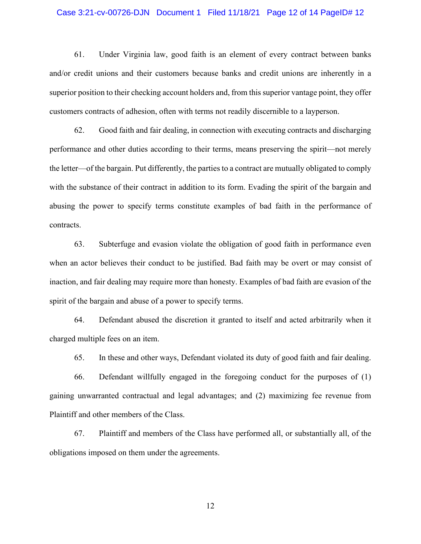#### Case 3:21-cv-00726-DJN Document 1 Filed 11/18/21 Page 12 of 14 PageID# 12

61. Under Virginia law, good faith is an element of every contract between banks and/or credit unions and their customers because banks and credit unions are inherently in a superior position to their checking account holders and, from this superior vantage point, they offer customers contracts of adhesion, often with terms not readily discernible to a layperson.

62. Good faith and fair dealing, in connection with executing contracts and discharging performance and other duties according to their terms, means preserving the spirit—not merely the letter—of the bargain. Put differently, the parties to a contract are mutually obligated to comply with the substance of their contract in addition to its form. Evading the spirit of the bargain and abusing the power to specify terms constitute examples of bad faith in the performance of contracts.

63. Subterfuge and evasion violate the obligation of good faith in performance even when an actor believes their conduct to be justified. Bad faith may be overt or may consist of inaction, and fair dealing may require more than honesty. Examples of bad faith are evasion of the spirit of the bargain and abuse of a power to specify terms.

64. Defendant abused the discretion it granted to itself and acted arbitrarily when it charged multiple fees on an item.

65. In these and other ways, Defendant violated its duty of good faith and fair dealing.

66. Defendant willfully engaged in the foregoing conduct for the purposes of (1) gaining unwarranted contractual and legal advantages; and (2) maximizing fee revenue from Plaintiff and other members of the Class.

67. Plaintiff and members of the Class have performed all, or substantially all, of the obligations imposed on them under the agreements.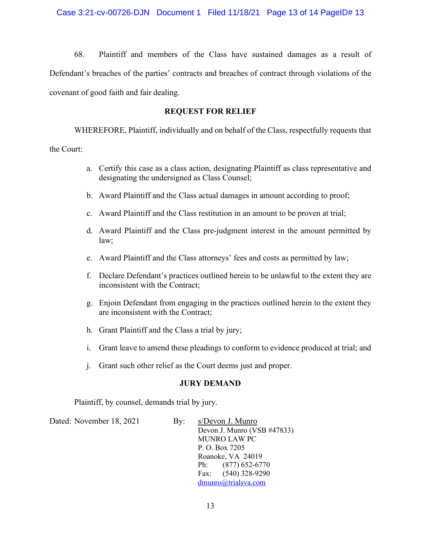68. Plaintiff and members of the Class have sustained damages as a result of Defendant's breaches of the parties' contracts and breaches of contract through violations of the covenant of good faith and fair dealing.

## **REQUEST FOR RELIEF**

WHEREFORE, Plaintiff, individually and on behalf of the Class, respectfully requests that the Court:

- a. Certify this case as a class action, designating Plaintiff as class representative and designating the undersigned as Class Counsel;
- b. Award Plaintiff and the Class actual damages in amount according to proof;
- c. Award Plaintiff and the Class restitution in an amount to be proven at trial;
- d. Award Plaintiff and the Class pre-judgment interest in the amount permitted by law;
- e. Award Plaintiff and the Class attorneys' fees and costs as permitted by law;
- f. Declare Defendant's practices outlined herein to be unlawful to the extent they are inconsistent with the Contract;
- g. Enjoin Defendant from engaging in the practices outlined herein to the extent they are inconsistent with the Contract;
- h. Grant Plaintiff and the Class a trial by jury;
- i. Grant leave to amend these pleadings to conform to evidence produced at trial; and
- j. Grant such other relief as the Court deems just and proper.

# **JURY DEMAND**

Plaintiff, by counsel, demands trial by jury.

Dated: November 18, 2021 By: s/Devon J. Munro

Devon J. Munro (VSB #47833) MUNRO LAW PC P. O. Box 7205 Roanoke, VA 24019 Ph: (877) 652-6770 Fax: (540) 328-9290 [dmunro@trialsva.com](mailto:dmunro@trialsva.com)